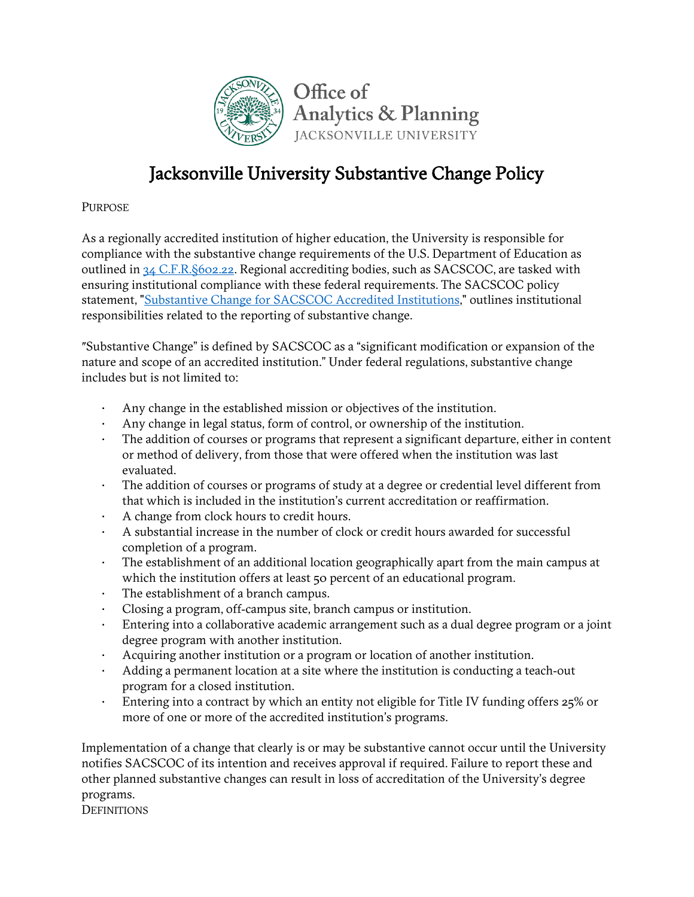

# Jacksonville University Substantive Change Policy

**PURPOSE** 

As a regionally accredited institution of higher education, the University is responsible for compliance with the substantive change requirements of the U.S. Department of Education as outlined in [34 C.F.R.§602.22.](https://www.ecfr.gov/cgi-bin/text-idx?SID=f5d6ed4c8f0acea8358329da414f9a10&mc=true&node=se34.3.602_122&rgn=div8) Regional accrediting bodies, such as SACSCOC, are tasked with ensuring institutional compliance with these federal requirements. The SACSCOC policy statement, ["Substantive Change for SACSCOC Accredited Institutions,"](http://www.sacscoc.org/pdf/081705/SubstantiveChange.pdf) outlines institutional responsibilities related to the reporting of substantive change.

ʺSubstantive Change" is defined by SACSCOC as a "significant modification or expansion of the nature and scope of an accredited institution." Under federal regulations, substantive change includes but is not limited to:

- Any change in the established mission or objectives of the institution.
- Any change in legal status, form of control, or ownership of the institution.
- The addition of courses or programs that represent a significant departure, either in content or method of delivery, from those that were offered when the institution was last evaluated.
- The addition of courses or programs of study at a degree or credential level different from that which is included in the institution's current accreditation or reaffirmation.
- A change from clock hours to credit hours.
- A substantial increase in the number of clock or credit hours awarded for successful completion of a program.
- The establishment of an additional location geographically apart from the main campus at which the institution offers at least 50 percent of an educational program.
- The establishment of a branch campus.
- Closing a program, off‐campus site, branch campus or institution.
- Entering into a collaborative academic arrangement such as a dual degree program or a joint degree program with another institution.
- Acquiring another institution or a program or location of another institution.
- Adding a permanent location at a site where the institution is conducting a teach‐out program for a closed institution.
- Entering into a contract by which an entity not eligible for Title IV funding offers 25% or more of one or more of the accredited institution's programs.

Implementation of a change that clearly is or may be substantive cannot occur until the University notifies SACSCOC of its intention and receives approval if required. Failure to report these and other planned substantive changes can result in loss of accreditation of the University's degree programs.

**DEFINITIONS**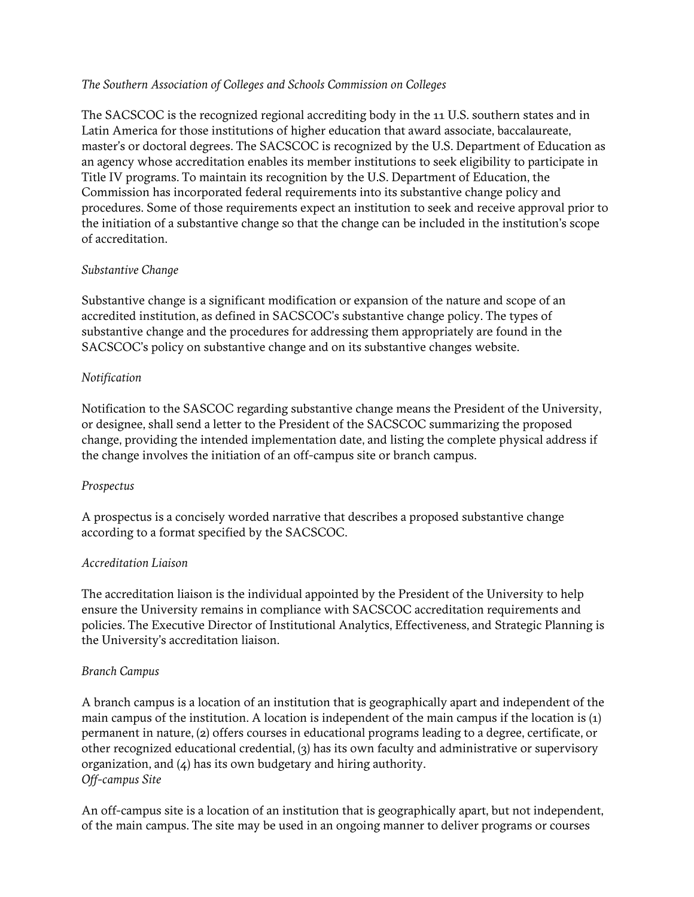# *The Southern Association of Colleges and Schools Commission on Colleges*

The SACSCOC is the recognized regional accrediting body in the 11 U.S. southern states and in Latin America for those institutions of higher education that award associate, baccalaureate, master's or doctoral degrees. The SACSCOC is recognized by the U.S. Department of Education as an agency whose accreditation enables its member institutions to seek eligibility to participate in Title IV programs. To maintain its recognition by the U.S. Department of Education, the Commission has incorporated federal requirements into its substantive change policy and procedures. Some of those requirements expect an institution to seek and receive approval prior to the initiation of a substantive change so that the change can be included in the institution's scope of accreditation.

# *Substantive Change*

Substantive change is a significant modification or expansion of the nature and scope of an accredited institution, as defined in SACSCOC's substantive change policy. The types of substantive change and the procedures for addressing them appropriately are found in the SACSCOC's policy on substantive change and on its substantive changes website.

# *Notification*

Notification to the SASCOC regarding substantive change means the President of the University, or designee, shall send a letter to the President of the SACSCOC summarizing the proposed change, providing the intended implementation date, and listing the complete physical address if the change involves the initiation of an off-campus site or branch campus.

# *Prospectus*

A prospectus is a concisely worded narrative that describes a proposed substantive change according to a format specified by the SACSCOC.

# *Accreditation Liaison*

The accreditation liaison is the individual appointed by the President of the University to help ensure the University remains in compliance with SACSCOC accreditation requirements and policies. The Executive Director of Institutional Analytics, Effectiveness, and Strategic Planning is the University's accreditation liaison.

# *Branch Campus*

A branch campus is a location of an institution that is geographically apart and independent of the main campus of the institution. A location is independent of the main campus if the location is (1) permanent in nature, (2) offers courses in educational programs leading to a degree, certificate, or other recognized educational credential, (3) has its own faculty and administrative or supervisory organization, and (4) has its own budgetary and hiring authority. *Off-campus Site*

An off-campus site is a location of an institution that is geographically apart, but not independent, of the main campus. The site may be used in an ongoing manner to deliver programs or courses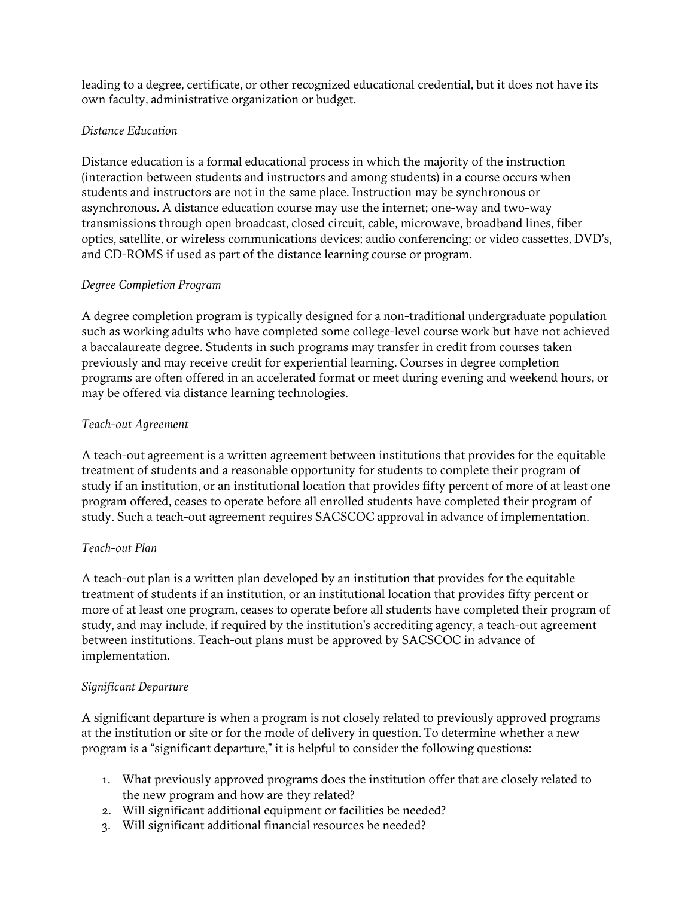leading to a degree, certificate, or other recognized educational credential, but it does not have its own faculty, administrative organization or budget.

# *Distance Education*

Distance education is a formal educational process in which the majority of the instruction (interaction between students and instructors and among students) in a course occurs when students and instructors are not in the same place. Instruction may be synchronous or asynchronous. A distance education course may use the internet; one-way and two-way transmissions through open broadcast, closed circuit, cable, microwave, broadband lines, fiber optics, satellite, or wireless communications devices; audio conferencing; or video cassettes, DVD's, and CD-ROMS if used as part of the distance learning course or program.

# *Degree Completion Program*

A degree completion program is typically designed for a non-traditional undergraduate population such as working adults who have completed some college-level course work but have not achieved a baccalaureate degree. Students in such programs may transfer in credit from courses taken previously and may receive credit for experiential learning. Courses in degree completion programs are often offered in an accelerated format or meet during evening and weekend hours, or may be offered via distance learning technologies.

# *Teach-out Agreement*

A teach-out agreement is a written agreement between institutions that provides for the equitable treatment of students and a reasonable opportunity for students to complete their program of study if an institution, or an institutional location that provides fifty percent of more of at least one program offered, ceases to operate before all enrolled students have completed their program of study. Such a teach-out agreement requires SACSCOC approval in advance of implementation.

# *Teach-out Plan*

A teach-out plan is a written plan developed by an institution that provides for the equitable treatment of students if an institution, or an institutional location that provides fifty percent or more of at least one program, ceases to operate before all students have completed their program of study, and may include, if required by the institution's accrediting agency, a teach-out agreement between institutions. Teach-out plans must be approved by SACSCOC in advance of implementation.

# *Significant Departure*

A significant departure is when a program is not closely related to previously approved programs at the institution or site or for the mode of delivery in question. To determine whether a new program is a "significant departure," it is helpful to consider the following questions:

- 1. What previously approved programs does the institution offer that are closely related to the new program and how are they related?
- 2. Will significant additional equipment or facilities be needed?
- 3. Will significant additional financial resources be needed?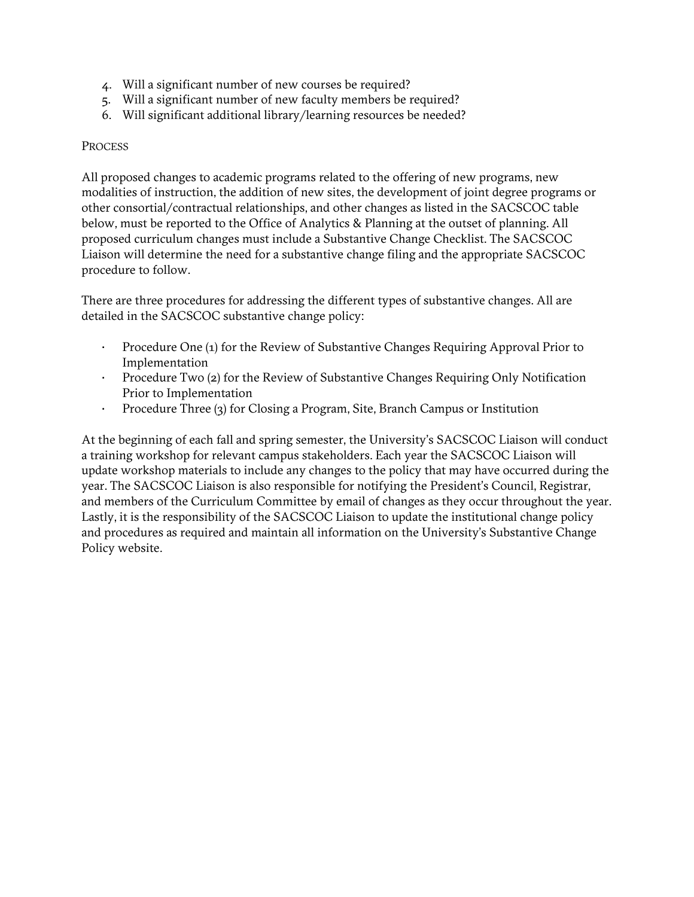- 4. Will a significant number of new courses be required?
- 5. Will a significant number of new faculty members be required?
- 6. Will significant additional library/learning resources be needed?

#### **PROCESS**

All proposed changes to academic programs related to the offering of new programs, new modalities of instruction, the addition of new sites, the development of joint degree programs or other consortial/contractual relationships, and other changes as listed in the SACSCOC table below, must be reported to the Office of Analytics & Planning at the outset of planning. All proposed curriculum changes must include a Substantive Change Checklist. The SACSCOC Liaison will determine the need for a substantive change filing and the appropriate SACSCOC procedure to follow.

There are three procedures for addressing the different types of substantive changes. All are detailed in the SACSCOC substantive change policy:

- Procedure One (1) for the Review of Substantive Changes Requiring Approval Prior to Implementation
- Procedure Two (2) for the Review of Substantive Changes Requiring Only Notification Prior to Implementation
- Procedure Three (3) for Closing a Program, Site, Branch Campus or Institution

At the beginning of each fall and spring semester, the University's SACSCOC Liaison will conduct a training workshop for relevant campus stakeholders. Each year the SACSCOC Liaison will update workshop materials to include any changes to the policy that may have occurred during the year. The SACSCOC Liaison is also responsible for notifying the President's Council, Registrar, and members of the Curriculum Committee by email of changes as they occur throughout the year. Lastly, it is the responsibility of the SACSCOC Liaison to update the institutional change policy and procedures as required and maintain all information on the University's Substantive Change Policy website.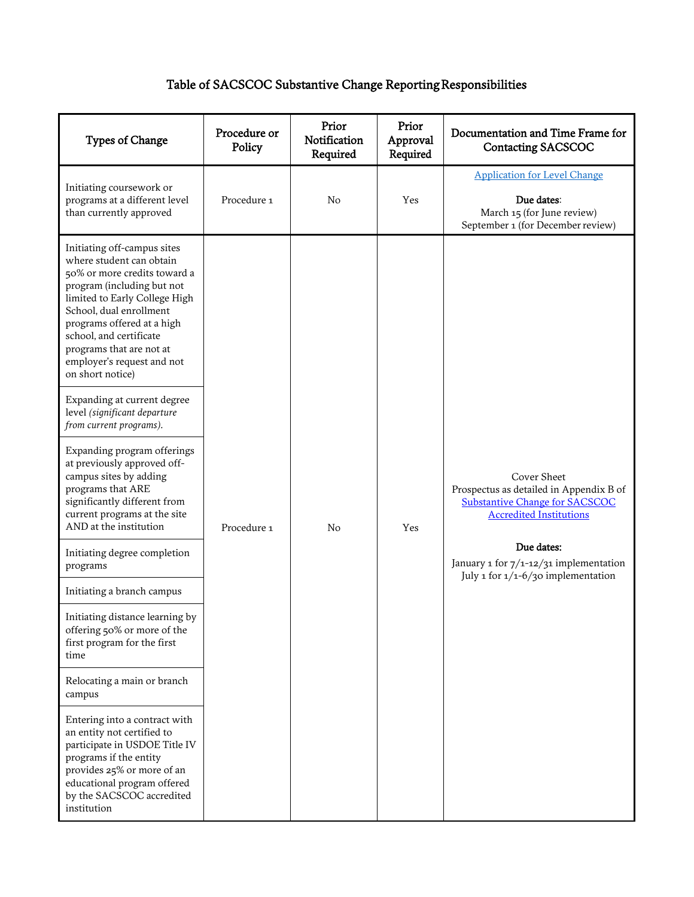# Table of SACSCOC Substantive Change Reporting Responsibilities

| Types of Change                                                                                                                                                                                                                                                                                                          | Procedure or<br>Policy | Prior<br>Notification<br>Required | Prior<br>Approval<br>Required | Documentation and Time Frame for<br><b>Contacting SACSCOC</b>                                                                     |
|--------------------------------------------------------------------------------------------------------------------------------------------------------------------------------------------------------------------------------------------------------------------------------------------------------------------------|------------------------|-----------------------------------|-------------------------------|-----------------------------------------------------------------------------------------------------------------------------------|
| Initiating coursework or<br>programs at a different level<br>than currently approved                                                                                                                                                                                                                                     | Procedure 1            | No                                | Yes                           | <b>Application for Level Change</b><br>Due dates:<br>March 15 (for June review)<br>September 1 (for December review)              |
| Initiating off-campus sites<br>where student can obtain<br>50% or more credits toward a<br>program (including but not<br>limited to Early College High<br>School, dual enrollment<br>programs offered at a high<br>school, and certificate<br>programs that are not at<br>employer's request and not<br>on short notice) |                        |                                   |                               |                                                                                                                                   |
| Expanding at current degree<br>level (significant departure<br>from current programs).                                                                                                                                                                                                                                   |                        |                                   |                               |                                                                                                                                   |
| Expanding program offerings<br>at previously approved off-<br>campus sites by adding<br>programs that ARE<br>significantly different from<br>current programs at the site<br>AND at the institution                                                                                                                      | Procedure 1            | No                                | Yes                           | Cover Sheet<br>Prospectus as detailed in Appendix B of<br><b>Substantive Change for SACSCOC</b><br><b>Accredited Institutions</b> |
| Initiating degree completion<br>programs                                                                                                                                                                                                                                                                                 |                        |                                   |                               | Due dates:<br>January 1 for 7/1-12/31 implementation<br>July 1 for 1/1-6/30 implementation                                        |
| Initiating a branch campus                                                                                                                                                                                                                                                                                               |                        |                                   |                               |                                                                                                                                   |
| Initiating distance learning by<br>offering 50% or more of the<br>first program for the first<br>time                                                                                                                                                                                                                    |                        |                                   |                               |                                                                                                                                   |
| Relocating a main or branch<br>campus                                                                                                                                                                                                                                                                                    |                        |                                   |                               |                                                                                                                                   |
| Entering into a contract with<br>an entity not certified to<br>participate in USDOE Title IV<br>programs if the entity<br>provides 25% or more of an<br>educational program offered<br>by the SACSCOC accredited<br>institution                                                                                          |                        |                                   |                               |                                                                                                                                   |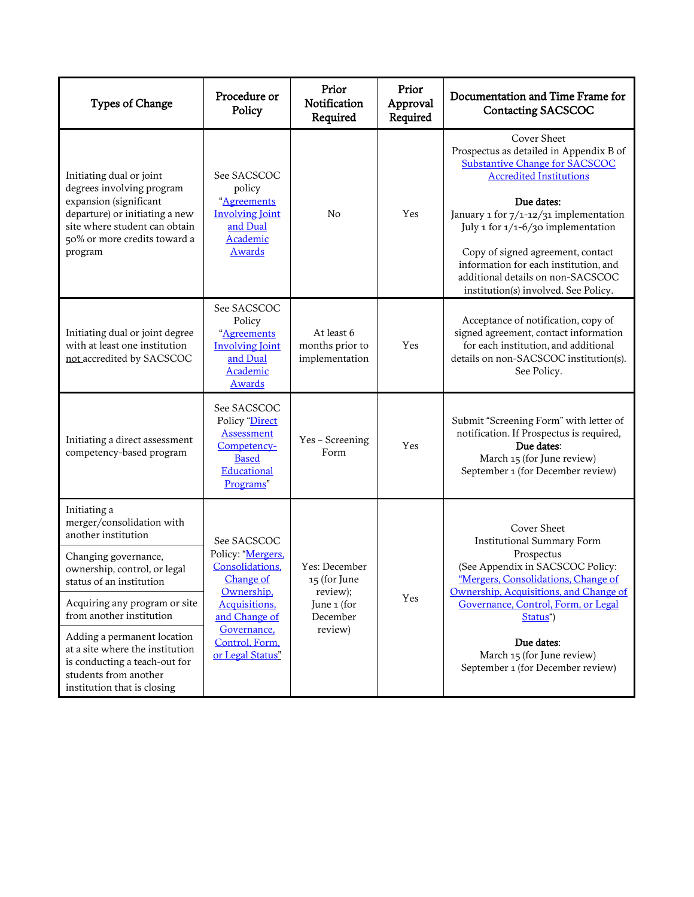| <b>Types of Change</b>                                                                                                                                                                        | Procedure or<br>Policy                                                                                                                                                | Prior<br>Notification<br>Required                                               | Prior<br>Approval<br>Required | Documentation and Time Frame for<br><b>Contacting SACSCOC</b>                                                                                                                 |
|-----------------------------------------------------------------------------------------------------------------------------------------------------------------------------------------------|-----------------------------------------------------------------------------------------------------------------------------------------------------------------------|---------------------------------------------------------------------------------|-------------------------------|-------------------------------------------------------------------------------------------------------------------------------------------------------------------------------|
| Initiating dual or joint<br>degrees involving program<br>expansion (significant<br>departure) or initiating a new<br>site where student can obtain<br>50% or more credits toward a<br>program | See SACSCOC<br>policy<br>"Agreements<br><b>Involving Joint</b><br>and Dual<br>Academic<br><b>Awards</b>                                                               | No                                                                              | Yes                           | Cover Sheet<br>Prospectus as detailed in Appendix B of<br><b>Substantive Change for SACSCOC</b><br><b>Accredited Institutions</b>                                             |
|                                                                                                                                                                                               |                                                                                                                                                                       |                                                                                 |                               | Due dates:<br>January 1 for 7/1-12/31 implementation<br>July 1 for $1/1 - 6/30$ implementation                                                                                |
|                                                                                                                                                                                               |                                                                                                                                                                       |                                                                                 |                               | Copy of signed agreement, contact<br>information for each institution, and<br>additional details on non-SACSCOC<br>institution(s) involved. See Policy.                       |
| Initiating dual or joint degree<br>with at least one institution<br>not accredited by SACSCOC                                                                                                 | See SACSCOC<br>Policy<br>"Agreements<br><b>Involving Joint</b><br>and Dual<br>Academic<br><b>Awards</b>                                                               | At least 6<br>months prior to<br>implementation                                 | Yes                           | Acceptance of notification, copy of<br>signed agreement, contact information<br>for each institution, and additional<br>details on non-SACSCOC institution(s).<br>See Policy. |
| Initiating a direct assessment<br>competency-based program                                                                                                                                    | See SACSCOC<br>Policy "Direct<br>Assessment<br>Competency-<br><b>Based</b><br>Educational<br>Programs"                                                                | Yes - Screening<br>Form                                                         | Yes                           | Submit "Screening Form" with letter of<br>notification. If Prospectus is required,<br>Due dates:<br>March 15 (for June review)<br>September 1 (for December review)           |
| Initiating a<br>merger/consolidation with<br>another institution                                                                                                                              | See SACSCOC<br>Policy: "Mergers,<br>Consolidations.<br>Change of<br>Ownership.<br>Acquisitions,<br>and Change of<br>Governance.<br>Control, Form,<br>or Legal Status" | Yes: December<br>15 (for June<br>review);<br>June 1 (for<br>December<br>review) | Yes                           | Cover Sheet<br>Institutional Summary Form                                                                                                                                     |
| Changing governance,<br>ownership, control, or legal<br>status of an institution                                                                                                              |                                                                                                                                                                       |                                                                                 |                               | Prospectus<br>(See Appendix in SACSCOC Policy:<br>"Mergers, Consolidations, Change of<br>Ownership, Acquisitions, and Change of                                               |
| Acquiring any program or site<br>from another institution                                                                                                                                     |                                                                                                                                                                       |                                                                                 |                               | Governance, Control, Form, or Legal<br>Status")                                                                                                                               |
| Adding a permanent location<br>at a site where the institution<br>is conducting a teach-out for<br>students from another<br>institution that is closing                                       |                                                                                                                                                                       |                                                                                 |                               | Due dates:<br>March 15 (for June review)<br>September 1 (for December review)                                                                                                 |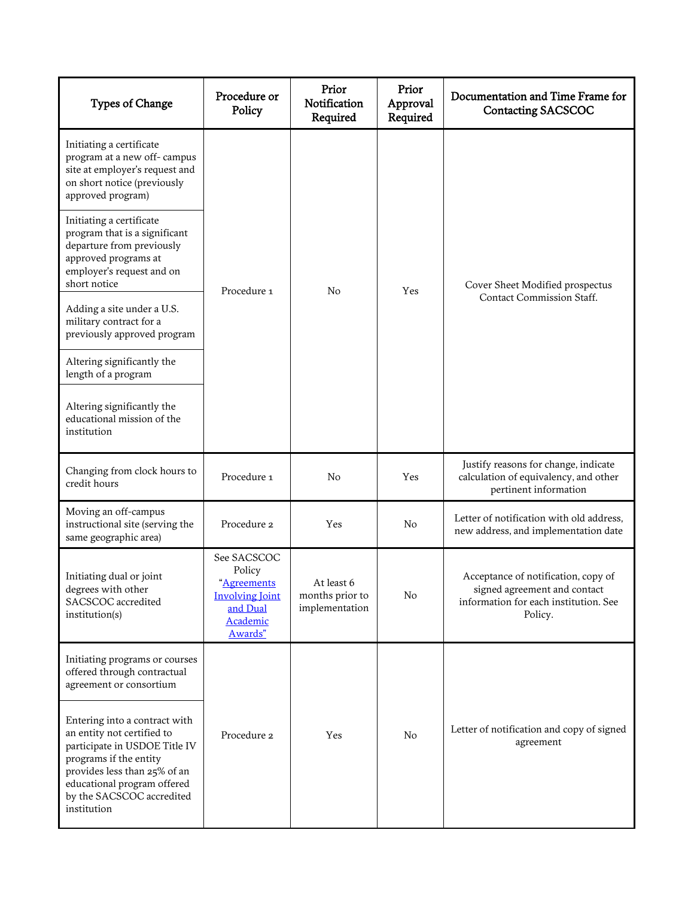| <b>Types of Change</b>                                                                                                                                                                                                            | Procedure or<br>Policy                                                                            | Prior<br>Notification<br>Required               | Prior<br>Approval<br>Required | Documentation and Time Frame for<br><b>Contacting SACSCOC</b>                                                           |
|-----------------------------------------------------------------------------------------------------------------------------------------------------------------------------------------------------------------------------------|---------------------------------------------------------------------------------------------------|-------------------------------------------------|-------------------------------|-------------------------------------------------------------------------------------------------------------------------|
| Initiating a certificate<br>program at a new off-campus<br>site at employer's request and<br>on short notice (previously<br>approved program)                                                                                     |                                                                                                   |                                                 |                               |                                                                                                                         |
| Initiating a certificate<br>program that is a significant<br>departure from previously<br>approved programs at<br>employer's request and on<br>short notice                                                                       | Procedure 1                                                                                       | N <sub>o</sub>                                  | Yes                           | Cover Sheet Modified prospectus                                                                                         |
| Adding a site under a U.S.<br>military contract for a<br>previously approved program                                                                                                                                              |                                                                                                   |                                                 |                               | Contact Commission Staff.                                                                                               |
| Altering significantly the<br>length of a program                                                                                                                                                                                 |                                                                                                   |                                                 |                               |                                                                                                                         |
| Altering significantly the<br>educational mission of the<br>institution                                                                                                                                                           |                                                                                                   |                                                 |                               |                                                                                                                         |
| Changing from clock hours to<br>credit hours                                                                                                                                                                                      | Procedure 1                                                                                       | No                                              | Yes                           | Justify reasons for change, indicate<br>calculation of equivalency, and other<br>pertinent information                  |
| Moving an off-campus<br>instructional site (serving the<br>same geographic area)                                                                                                                                                  | Procedure 2                                                                                       | Yes                                             | N <sub>o</sub>                | Letter of notification with old address,<br>new address, and implementation date                                        |
| Initiating dual or joint<br>degrees with other<br>SACSCOC accredited<br>institution(s)                                                                                                                                            | See SACSCOC<br>Policy<br>"Agreements<br><b>Involving Joint</b><br>and Dual<br>Academic<br>Awards" | At least 6<br>months prior to<br>implementation | No                            | Acceptance of notification, copy of<br>signed agreement and contact<br>information for each institution. See<br>Policy. |
| Initiating programs or courses<br>offered through contractual<br>agreement or consortium                                                                                                                                          |                                                                                                   |                                                 |                               |                                                                                                                         |
| Entering into a contract with<br>an entity not certified to<br>participate in USDOE Title IV<br>programs if the entity<br>provides less than 25% of an<br>educational program offered<br>by the SACSCOC accredited<br>institution | Procedure 2                                                                                       | Yes                                             | No                            | Letter of notification and copy of signed<br>agreement                                                                  |